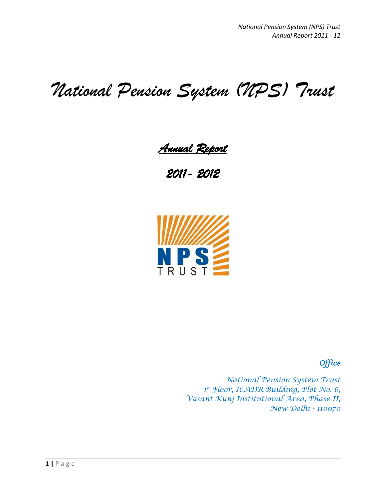# *National Pension System (NPS) Trust*

*Annual Report* 

*2011- 2012* 



*Office* 

*National Pension System Trust 1 st Floor, ICADR Building, Plot No. 6, Vasant Kunj Institutional Area, Phase-II, New Delhi - 110070*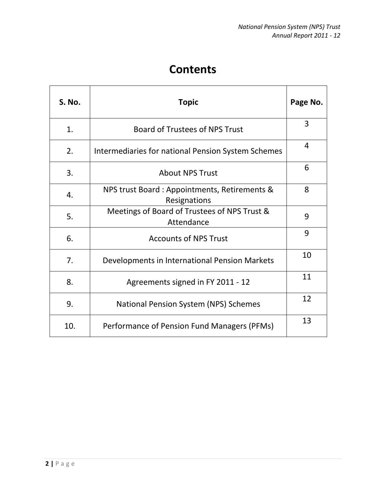# **Contents**

| <b>S. No.</b> | <b>Topic</b>                                                 | Page No. |
|---------------|--------------------------------------------------------------|----------|
| 1.            | <b>Board of Trustees of NPS Trust</b>                        | 3        |
| 2.            | Intermediaries for national Pension System Schemes           | 4        |
| 3.            | <b>About NPS Trust</b>                                       | 6        |
| 4.            | NPS trust Board: Appointments, Retirements &<br>Resignations | 8        |
| 5.            | Meetings of Board of Trustees of NPS Trust &<br>Attendance   | 9        |
| 6.            | <b>Accounts of NPS Trust</b>                                 | 9        |
| 7.            | Developments in International Pension Markets                | 10       |
| 8.            | Agreements signed in FY 2011 - 12                            | 11       |
| 9.            | <b>National Pension System (NPS) Schemes</b>                 | 12       |
| 10.           | Performance of Pension Fund Managers (PFMs)                  | 13       |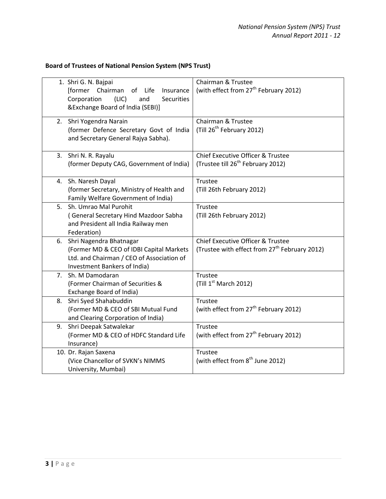**Board of Trustees of National Pension System (NPS Trust)**

| 1. Shri G. N. Bajpai<br>Corporation | [former Chairman<br>of Life<br>Insurance<br>(LIC)<br>and<br><b>Securities</b><br>&Exchange Board of India (SEBI)] | Chairman & Trustee<br>(with effect from 27 <sup>th</sup> February 2012) |
|-------------------------------------|-------------------------------------------------------------------------------------------------------------------|-------------------------------------------------------------------------|
| 2.                                  | Shri Yogendra Narain<br>(former Defence Secretary Govt of India                                                   | Chairman & Trustee<br>(Till 26 <sup>th</sup> February 2012)             |
|                                     | and Secretary General Rajya Sabha).                                                                               |                                                                         |
| 3. Shri N. R. Rayalu                |                                                                                                                   | <b>Chief Executive Officer &amp; Trustee</b>                            |
|                                     | (former Deputy CAG, Government of India)                                                                          | (Trustee till 26 <sup>th</sup> February 2012)                           |
| 4. Sh. Naresh Dayal                 |                                                                                                                   | Trustee                                                                 |
|                                     | (former Secretary, Ministry of Health and                                                                         | (Till 26th February 2012)                                               |
|                                     | Family Welfare Government of India)                                                                               |                                                                         |
|                                     | 5. Sh. Umrao Mal Purohit                                                                                          | <b>Trustee</b>                                                          |
|                                     | (General Secretary Hind Mazdoor Sabha                                                                             | (Till 26th February 2012)                                               |
| Federation)                         | and President all India Railway men                                                                               |                                                                         |
| 6.                                  | Shri Nagendra Bhatnagar                                                                                           | <b>Chief Executive Officer &amp; Trustee</b>                            |
|                                     | (Former MD & CEO of IDBI Capital Markets                                                                          | (Trustee with effect from 27 <sup>th</sup> February 2012)               |
|                                     | Ltd. and Chairman / CEO of Association of                                                                         |                                                                         |
|                                     | Investment Bankers of India)                                                                                      |                                                                         |
| 7. Sh. M Damodaran                  |                                                                                                                   | Trustee                                                                 |
|                                     | (Former Chairman of Securities &                                                                                  | (Till 1 <sup>st</sup> March 2012)                                       |
|                                     | Exchange Board of India)                                                                                          |                                                                         |
| 8.                                  | Shri Syed Shahabuddin                                                                                             | Trustee                                                                 |
|                                     | (Former MD & CEO of SBI Mutual Fund                                                                               | (with effect from 27 <sup>th</sup> February 2012)                       |
|                                     | and Clearing Corporation of India)                                                                                | <b>Trustee</b>                                                          |
| 9.                                  | Shri Deepak Satwalekar<br>(Former MD & CEO of HDFC Standard Life                                                  | (with effect from 27 <sup>th</sup> February 2012)                       |
| Insurance)                          |                                                                                                                   |                                                                         |
| 10. Dr. Rajan Saxena                |                                                                                                                   | Trustee                                                                 |
|                                     | (Vice Chancellor of SVKN's NIMMS                                                                                  | (with effect from 8 <sup>th</sup> June 2012)                            |
|                                     | University, Mumbai)                                                                                               |                                                                         |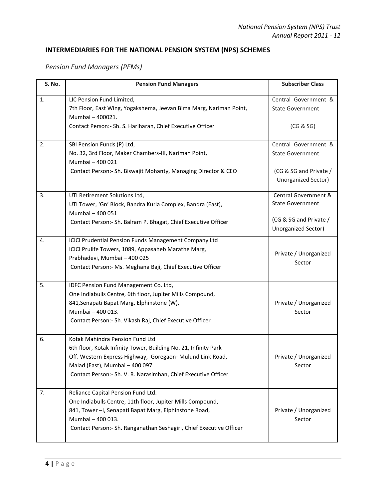# **INTERMEDIARIES FOR THE NATIONAL PENSION SYSTEM (NPS) SCHEMES**

## *Pension Fund Managers (PFMs)*

| S. No. | <b>Pension Fund Managers</b>                                                                                                                                                                                                                                         | <b>Subscriber Class</b>                                                                          |
|--------|----------------------------------------------------------------------------------------------------------------------------------------------------------------------------------------------------------------------------------------------------------------------|--------------------------------------------------------------------------------------------------|
| 1.     | LIC Pension Fund Limited,<br>7th Floor, East Wing, Yogakshema, Jeevan Bima Marg, Nariman Point,<br>Mumbai - 400021.<br>Contact Person:- Sh. S. Hariharan, Chief Executive Officer                                                                                    | Central Government &<br><b>State Government</b><br>(CG & SG)                                     |
| 2.     | SBI Pension Funds (P) Ltd,<br>No. 32, 3rd Floor, Maker Chambers-III, Nariman Point,<br>Mumbai - 400 021<br>Contact Person:- Sh. Biswajit Mohanty, Managing Director & CEO                                                                                            | Central Government &<br><b>State Government</b><br>(CG & SG and Private /<br>Unorganized Sector) |
| 3.     | UTI Retirement Solutions Ltd,<br>UTI Tower, 'Gn' Block, Bandra Kurla Complex, Bandra (East),<br>Mumbai - 400 051<br>Contact Person: - Sh. Balram P. Bhagat, Chief Executive Officer                                                                                  | Central Government &<br><b>State Government</b><br>(CG & SG and Private /<br>Unorganized Sector) |
| 4.     | ICICI Prudential Pension Funds Management Company Ltd<br>ICICI Prulife Towers, 1089, Appasaheb Marathe Marg,<br>Prabhadevi, Mumbai - 400 025<br>Contact Person: - Ms. Meghana Baji, Chief Executive Officer                                                          | Private / Unorganized<br>Sector                                                                  |
| 5.     | IDFC Pension Fund Management Co. Ltd,<br>One Indiabulls Centre, 6th floor, Jupiter Mills Compound,<br>841, Senapati Bapat Marg, Elphinstone (W),<br>Mumbai - 400 013.<br>Contact Person: - Sh. Vikash Raj, Chief Executive Officer                                   | Private / Unorganized<br>Sector                                                                  |
| 6.     | Kotak Mahindra Pension Fund Ltd<br>6th floor, Kotak Infinity Tower, Building No. 21, Infinity Park<br>Off. Western Express Highway, Goregaon- Mulund Link Road,<br>Malad (East), Mumbai - 400 097<br>Contact Person: - Sh. V. R. Narasimhan, Chief Executive Officer | Private / Unorganized<br>Sector                                                                  |
| 7.     | Reliance Capital Pension Fund Ltd.<br>One Indiabulls Centre, 11th floor, Jupiter Mills Compound,<br>841, Tower - I, Senapati Bapat Marg, Elphinstone Road,<br>Mumbai - 400 013.<br>Contact Person: - Sh. Ranganathan Seshagiri, Chief Executive Officer              | Private / Unorganized<br>Sector                                                                  |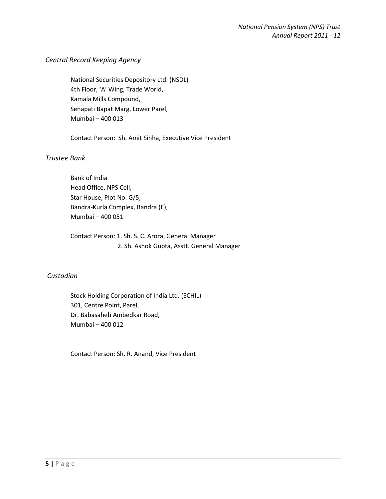#### *Central Record Keeping Agency*

 National Securities Depository Ltd. (NSDL) 4th Floor, 'A' Wing, Trade World, Kamala Mills Compound, Senapati Bapat Marg, Lower Parel, Mumbai – 400 013

Contact Person: Sh. Amit Sinha, Executive Vice President

#### *Trustee Bank*

 Bank of India Head Office, NPS Cell, Star House, Plot No. G/5, Bandra-Kurla Complex, Bandra (E), Mumbai – 400 051

 Contact Person: 1. Sh. S. C. Arora, General Manager 2. Sh. Ashok Gupta, Asstt. General Manager

#### *Custodian*

 Stock Holding Corporation of India Ltd. (SCHIL) 301, Centre Point, Parel, Dr. Babasaheb Ambedkar Road, Mumbai – 400 012

Contact Person: Sh. R. Anand, Vice President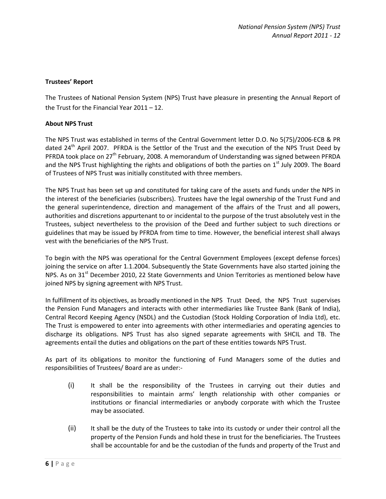#### **Trustees' Report**

The Trustees of National Pension System (NPS) Trust have pleasure in presenting the Annual Report of the Trust for the Financial Year 2011 – 12.

#### **About NPS Trust**

The NPS Trust was established in terms of the Central Government letter D.O. No 5(75)/2006-ECB & PR dated 24<sup>th</sup> April 2007. PFRDA is the Settlor of the Trust and the execution of the NPS Trust Deed by PFRDA took place on 27<sup>th</sup> February, 2008. A memorandum of Understanding was signed between PFRDA and the NPS Trust highlighting the rights and obligations of both the parties on  $1<sup>st</sup>$  July 2009. The Board of Trustees of NPS Trust was initially constituted with three members.

The NPS Trust has been set up and constituted for taking care of the assets and funds under the NPS in the interest of the beneficiaries (subscribers). Trustees have the legal ownership of the Trust Fund and the general superintendence, direction and management of the affairs of the Trust and all powers, authorities and discretions appurtenant to or incidental to the purpose of the trust absolutely vest in the Trustees, subject nevertheless to the provision of the Deed and further subject to such directions or guidelines that may be issued by PFRDA from time to time. However, the beneficial interest shall always vest with the beneficiaries of the NPS Trust.

To begin with the NPS was operational for the Central Government Employees (except defense forces) joining the service on after 1.1.2004. Subsequently the State Governments have also started joining the NPS. As on  $31<sup>st</sup>$  December 2010, 22 State Governments and Union Territories as mentioned below have joined NPS by signing agreement with NPS Trust.

In fulfillment of its objectives, as broadly mentioned in the NPS Trust Deed, the NPS Trust supervises the Pension Fund Managers and interacts with other intermediaries like Trustee Bank (Bank of India), Central Record Keeping Agency (NSDL) and the Custodian (Stock Holding Corporation of India Ltd), etc. The Trust is empowered to enter into agreements with other intermediaries and operating agencies to discharge its obligations. NPS Trust has also signed separate agreements with SHCIL and TB. The agreements entail the duties and obligations on the part of these entities towards NPS Trust.

As part of its obligations to monitor the functioning of Fund Managers some of the duties and responsibilities of Trustees/ Board are as under:-

- (i) It shall be the responsibility of the Trustees in carrying out their duties and responsibilities to maintain arms' length relationship with other companies or institutions or financial intermediaries or anybody corporate with which the Trustee may be associated.
- (ii) It shall be the duty of the Trustees to take into its custody or under their control all the property of the Pension Funds and hold these in trust for the beneficiaries. The Trustees shall be accountable for and be the custodian of the funds and property of the Trust and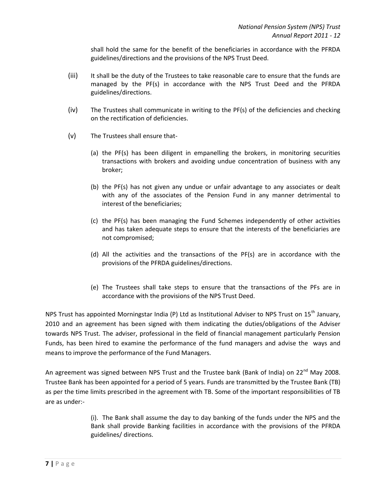shall hold the same for the benefit of the beneficiaries in accordance with the PFRDA guidelines/directions and the provisions of the NPS Trust Deed.

- (iii) It shall be the duty of the Trustees to take reasonable care to ensure that the funds are managed by the PF(s) in accordance with the NPS Trust Deed and the PFRDA guidelines/directions.
- (iv) The Trustees shall communicate in writing to the PF(s) of the deficiencies and checking on the rectification of deficiencies.
- (v) The Trustees shall ensure that-
	- (a) the PF(s) has been diligent in empanelling the brokers, in monitoring securities transactions with brokers and avoiding undue concentration of business with any broker;
	- (b) the PF(s) has not given any undue or unfair advantage to any associates or dealt with any of the associates of the Pension Fund in any manner detrimental to interest of the beneficiaries;
	- (c) the PF(s) has been managing the Fund Schemes independently of other activities and has taken adequate steps to ensure that the interests of the beneficiaries are not compromised;
	- (d) All the activities and the transactions of the PF(s) are in accordance with the provisions of the PFRDA guidelines/directions.
	- (e) The Trustees shall take steps to ensure that the transactions of the PFs are in accordance with the provisions of the NPS Trust Deed.

NPS Trust has appointed Morningstar India (P) Ltd as Institutional Adviser to NPS Trust on  $15<sup>th</sup>$  January, 2010 and an agreement has been signed with them indicating the duties/obligations of the Adviser towards NPS Trust. The adviser, professional in the field of financial management particularly Pension Funds, has been hired to examine the performance of the fund managers and advise the ways and means to improve the performance of the Fund Managers.

An agreement was signed between NPS Trust and the Trustee bank (Bank of India) on 22<sup>nd</sup> May 2008. Trustee Bank has been appointed for a period of 5 years. Funds are transmitted by the Trustee Bank (TB) as per the time limits prescribed in the agreement with TB. Some of the important responsibilities of TB are as under:-

> (i). The Bank shall assume the day to day banking of the funds under the NPS and the Bank shall provide Banking facilities in accordance with the provisions of the PFRDA guidelines/ directions.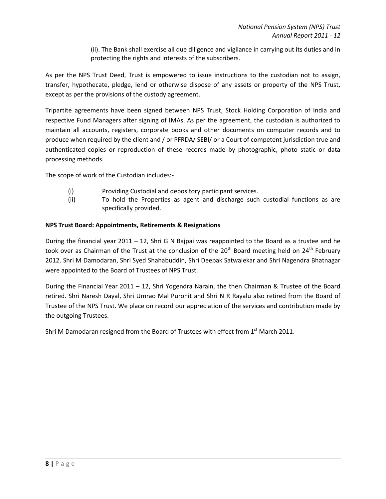(ii). The Bank shall exercise all due diligence and vigilance in carrying out its duties and in protecting the rights and interests of the subscribers.

As per the NPS Trust Deed, Trust is empowered to issue instructions to the custodian not to assign, transfer, hypothecate, pledge, lend or otherwise dispose of any assets or property of the NPS Trust, except as per the provisions of the custody agreement.

Tripartite agreements have been signed between NPS Trust, Stock Holding Corporation of India and respective Fund Managers after signing of IMAs. As per the agreement, the custodian is authorized to maintain all accounts, registers, corporate books and other documents on computer records and to produce when required by the client and / or PFRDA/ SEBI/ or a Court of competent jurisdiction true and authenticated copies or reproduction of these records made by photographic, photo static or data processing methods.

The scope of work of the Custodian includes:-

- (i) Providing Custodial and depository participant services.
- (ii) To hold the Properties as agent and discharge such custodial functions as are specifically provided.

#### **NPS Trust Board: Appointments, Retirements & Resignations**

During the financial year 2011 – 12, Shri G N Bajpai was reappointed to the Board as a trustee and he took over as Chairman of the Trust at the conclusion of the  $20<sup>th</sup>$  Board meeting held on  $24<sup>th</sup>$  February 2012. Shri M Damodaran, Shri Syed Shahabuddin, Shri Deepak Satwalekar and Shri Nagendra Bhatnagar were appointed to the Board of Trustees of NPS Trust.

During the Financial Year 2011 – 12, Shri Yogendra Narain, the then Chairman & Trustee of the Board retired. Shri Naresh Dayal, Shri Umrao Mal Purohit and Shri N R Rayalu also retired from the Board of Trustee of the NPS Trust. We place on record our appreciation of the services and contribution made by the outgoing Trustees.

Shri M Damodaran resigned from the Board of Trustees with effect from  $1<sup>st</sup>$  March 2011.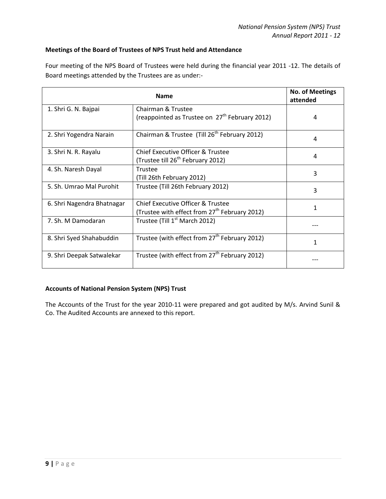#### **Meetings of the Board of Trustees of NPS Trust held and Attendance**

Four meeting of the NPS Board of Trustees were held during the financial year 2011 -12. The details of Board meetings attended by the Trustees are as under:-

|                            | <b>No. of Meetings</b><br>attended                                                            |   |
|----------------------------|-----------------------------------------------------------------------------------------------|---|
| 1. Shri G. N. Bajpai       | Chairman & Trustee                                                                            |   |
|                            | (reappointed as Trustee on $27th$ February 2012)                                              | 4 |
| 2. Shri Yogendra Narain    | Chairman & Trustee (Till 26 <sup>th</sup> February 2012)                                      | 4 |
| 3. Shri N. R. Rayalu       | <b>Chief Executive Officer &amp; Trustee</b><br>(Trustee till 26 <sup>th</sup> February 2012) | 4 |
| 4. Sh. Naresh Dayal        | Trustee<br>(Till 26th February 2012)                                                          | 3 |
| 5. Sh. Umrao Mal Purohit   | Trustee (Till 26th February 2012)                                                             | 3 |
| 6. Shri Nagendra Bhatnagar | <b>Chief Executive Officer &amp; Trustee</b>                                                  | 1 |
|                            | (Trustee with effect from 27 <sup>th</sup> February 2012)                                     |   |
| 7. Sh. M Damodaran         | Trustee (Till 1 <sup>st</sup> March 2012)                                                     |   |
| 8. Shri Syed Shahabuddin   | Trustee (with effect from 27 <sup>th</sup> February 2012)                                     | 1 |
| 9. Shri Deepak Satwalekar  | Trustee (with effect from 27 <sup>th</sup> February 2012)                                     |   |

#### **Accounts of National Pension System (NPS) Trust**

The Accounts of the Trust for the year 2010-11 were prepared and got audited by M/s. Arvind Sunil & Co. The Audited Accounts are annexed to this report.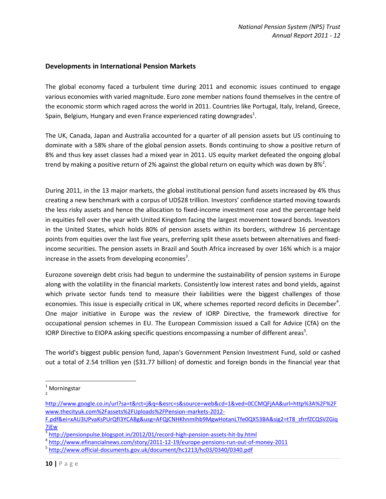#### **Developments in International Pension Markets**

The global economy faced a turbulent time during 2011 and economic issues continued to engage various economies with varied magnitude. Euro zone member nations found themselves in the centre of the economic storm which raged across the world in 2011. Countries like Portugal, Italy, Ireland, Greece, Spain, Belgium, Hungary and even France experienced rating downgrades $^1$ .

The UK, Canada, Japan and Australia accounted for a quarter of all pension assets but US continuing to dominate with a 58% share of the global pension assets. Bonds continuing to show a positive return of 8% and thus key asset classes had a mixed year in 2011. US equity market defeated the ongoing global trend by making a positive return of 2% against the global return on equity which was down by 8%<sup>2</sup>.

During 2011, in the 13 major markets, the global institutional pension fund assets increased by 4% thus creating a new benchmark with a corpus of UD\$28 trillion. Investors' confidence started moving towards the less risky assets and hence the allocation to fixed-income investment rose and the percentage held in equities fell over the year with United Kingdom facing the largest movement toward bonds. Investors in the United States, which holds 80% of pension assets within its borders, withdrew 16 percentage points from equities over the last five years, preferring split these assets between alternatives and fixedincome securities. The pension assets in Brazil and South Africa increased by over 16% which is a major increase in the assets from developing economies<sup>3</sup>.

Eurozone sovereign debt crisis had begun to undermine the sustainability of pension systems in Europe along with the volatility in the financial markets. Consistently low interest rates and bond yields, against which private sector funds tend to measure their liabilities were the biggest challenges of those economies. This issue is especially critical in UK, where schemes reported record deficits in December<sup>4</sup>. One major initiative in Europe was the review of IORP Directive, the framework directive for occupational pension schemes in EU. The European Commission issued a Call for Advice (CfA) on the IORP Directive to EIOPA asking specific questions encompassing a number of different areas<sup>5</sup>.

The world's biggest public pension fund, Japan's Government Pension Investment Fund, sold or cashed out a total of 2.54 trillion yen (\$31.77 billion) of domestic and foreign bonds in the financial year that

 $\overline{\phantom{a}}$ 

**Morningstar**  $\overline{2}$ 

http://www.google.co.in/url?sa=t&rct=j&q=&esrc=s&source=web&cd=1&ved=0CCMQFjAA&url=http%3A%2F%2F www.thecityuk.com%2Fassets%2FUploads%2FPension-markets-2012-

F.pdf&ei=xAU3UPvaKsPUrQfI3YCABg&usg=AFQjCNHKhnmIhb9MgwHotanLTfe0QX53BA&sig2=tT8\_zfrrfZCQSVZGiq 7iEw

<sup>&</sup>lt;sup>3</sup> http://pensionpulse.blogspot.in/2012/01/record-high-pension-assets-hit-by.html

<sup>4</sup> http://www.efinancialnews.com/story/2011-12-19/europe-pensions-run-out-of-money-2011

<sup>&</sup>lt;sup>5</sup> http://www.official-documents.gov.uk/document/hc1213/hc03/0340/0340.pdf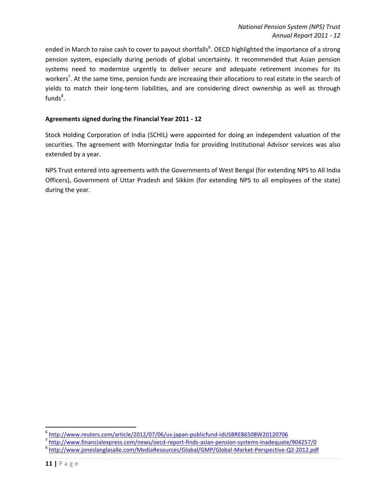ended in March to raise cash to cover to payout shortfalls<sup>6</sup>. OECD highlighted the importance of a strong pension system, especially during periods of global uncertainty. It recommended that Asian pension systems need to modernize urgently to deliver secure and adequate retirement incomes for its workers<sup>7</sup>. At the same time, pension funds are increasing their allocations to real estate in the search of yields to match their long-term liabilities, and are considering direct ownership as well as through  $funds<sup>8</sup>$ .

#### **Agreements signed during the Financial Year 2011 - 12**

Stock Holding Corporation of India (SCHIL) were appointed for doing an independent valuation of the securities. The agreement with Morningstar India for providing Institutional Advisor services was also extended by a year.

NPS Trust entered into agreements with the Governments of West Bengal (for extending NPS to All India Officers), Government of Uttar Pradesh and Sikkim (for extending NPS to all employees of the state) during the year.

 6 http://www.reuters.com/article/2012/07/06/us-japan-publicfund-idUSBRE86508W20120706

<sup>&</sup>lt;sup>7</sup> http://www.financialexpress.com/news/oecd-report-finds-asian-pension-systems-inadequate/904257/0

<sup>&</sup>lt;sup>8</sup> http://www.joneslanglasalle.com/MediaResources/Global/GMP/Global-Market-Perspective-Q2-2012.pdf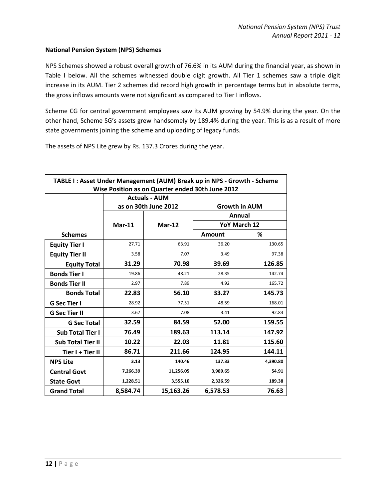#### **National Pension System (NPS) Schemes**

NPS Schemes showed a robust overall growth of 76.6% in its AUM during the financial year, as shown in Table I below. All the schemes witnessed double digit growth. All Tier 1 schemes saw a triple digit increase in its AUM. Tier 2 schemes did record high growth in percentage terms but in absolute terms, the gross inflows amounts were not significant as compared to Tier I inflows.

Scheme CG for central government employees saw its AUM growing by 54.9% during the year. On the other hand, Scheme SG's assets grew handsomely by 189.4% during the year. This is as a result of more state governments joining the scheme and uploading of legacy funds.

The assets of NPS Lite grew by Rs. 137.3 Crores during the year.

| TABLE I: Asset Under Management (AUM) Break up in NPS - Growth - Scheme<br>Wise Position as on Quarter ended 30th June 2012 |          |                                              |                      |              |  |  |
|-----------------------------------------------------------------------------------------------------------------------------|----------|----------------------------------------------|----------------------|--------------|--|--|
|                                                                                                                             |          | <b>Actuals - AUM</b><br>as on 30th June 2012 | <b>Growth in AUM</b> |              |  |  |
|                                                                                                                             |          |                                              |                      | Annual       |  |  |
|                                                                                                                             | $Mar-11$ | $Mar-12$                                     |                      | YoY March 12 |  |  |
| <b>Schemes</b>                                                                                                              |          |                                              | Amount               | ℅            |  |  |
| <b>Equity Tier I</b>                                                                                                        | 27.71    | 63.91                                        | 36.20                | 130.65       |  |  |
| <b>Equity Tier II</b>                                                                                                       | 3.58     | 7.07                                         | 3.49                 | 97.38        |  |  |
| <b>Equity Total</b>                                                                                                         | 31.29    | 70.98                                        | 39.69                | 126.85       |  |  |
| <b>Bonds Tier I</b>                                                                                                         | 19.86    | 48.21                                        | 28.35                | 142.74       |  |  |
| <b>Bonds Tier II</b>                                                                                                        | 2.97     | 7.89                                         | 4.92                 | 165.72       |  |  |
| <b>Bonds Total</b>                                                                                                          | 22.83    | 56.10                                        | 33.27                | 145.73       |  |  |
| <b>G Sec Tier I</b>                                                                                                         | 28.92    | 77.51                                        | 48.59                | 168.01       |  |  |
| <b>G Sec Tier II</b>                                                                                                        | 3.67     | 7.08                                         | 3.41                 | 92.83        |  |  |
| <b>G Sec Total</b>                                                                                                          | 32.59    | 84.59                                        | 52.00                | 159.55       |  |  |
| <b>Sub Total Tier I</b>                                                                                                     | 76.49    | 189.63                                       | 113.14               | 147.92       |  |  |
| <b>Sub Total Tier II</b>                                                                                                    | 10.22    | 22.03                                        | 11.81                | 115.60       |  |  |
| Tier I + Tier II                                                                                                            | 86.71    | 211.66                                       | 124.95               | 144.11       |  |  |
| <b>NPS Lite</b>                                                                                                             | 3.13     | 140.46                                       | 137.33               | 4,390.80     |  |  |
| <b>Central Govt</b>                                                                                                         | 7,266.39 | 11,256.05                                    | 3,989.65             | 54.91        |  |  |
| <b>State Govt</b>                                                                                                           | 1,228.51 | 3,555.10                                     | 2,326.59             | 189.38       |  |  |
| <b>Grand Total</b>                                                                                                          | 8,584.74 | 15,163.26                                    | 6,578.53             | 76.63        |  |  |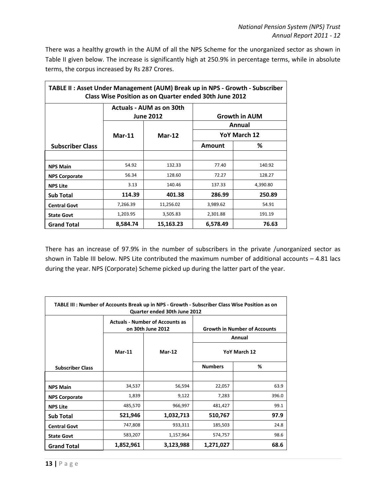There was a healthy growth in the AUM of all the NPS Scheme for the unorganized sector as shown in Table II given below. The increase is significantly high at 250.9% in percentage terms, while in absolute terms, the corpus increased by Rs 287 Crores.

| TABLE II: Asset Under Management (AUM) Break up in NPS - Growth - Subscriber<br>Class Wise Position as on Quarter ended 30th June 2012 |          |                                              |               |                      |  |  |  |
|----------------------------------------------------------------------------------------------------------------------------------------|----------|----------------------------------------------|---------------|----------------------|--|--|--|
|                                                                                                                                        |          | Actuals - AUM as on 30th<br><b>June 2012</b> |               | <b>Growth in AUM</b> |  |  |  |
|                                                                                                                                        |          |                                              |               | Annual               |  |  |  |
|                                                                                                                                        | $Mar-11$ | $Mar-12$                                     | YoY March 12  |                      |  |  |  |
| <b>Subscriber Class</b>                                                                                                                |          |                                              | <b>Amount</b> | %                    |  |  |  |
|                                                                                                                                        |          |                                              |               |                      |  |  |  |
| <b>NPS Main</b>                                                                                                                        | 54.92    | 132.33                                       | 77.40         | 140.92               |  |  |  |
| <b>NPS Corporate</b>                                                                                                                   | 56.34    | 128.60                                       | 72.27         | 128.27               |  |  |  |
| <b>NPS Lite</b>                                                                                                                        | 3.13     | 140.46                                       | 137.33        | 4,390.80             |  |  |  |
| <b>Sub Total</b>                                                                                                                       | 114.39   | 401.38                                       | 286.99        | 250.89               |  |  |  |
| <b>Central Govt</b>                                                                                                                    | 7,266.39 | 11,256.02                                    | 3,989.62      | 54.91                |  |  |  |
| <b>State Govt</b>                                                                                                                      | 1,203.95 | 3,505.83                                     | 2,301.88      | 191.19               |  |  |  |
| <b>Grand Total</b>                                                                                                                     | 8,584.74 | 15,163.23                                    | 6,578.49      | 76.63                |  |  |  |

There has an increase of 97.9% in the number of subscribers in the private /unorganized sector as shown in Table III below. NPS Lite contributed the maximum number of additional accounts – 4.81 lacs during the year. NPS (Corporate) Scheme picked up during the latter part of the year.

| TABLE III : Number of Accounts Break up in NPS - Growth - Subscriber Class Wise Position as on<br>Quarter ended 30th June 2012 |           |                                                             |                                     |        |  |  |
|--------------------------------------------------------------------------------------------------------------------------------|-----------|-------------------------------------------------------------|-------------------------------------|--------|--|--|
|                                                                                                                                |           | <b>Actuals - Number of Accounts as</b><br>on 30th June 2012 | <b>Growth in Number of Accounts</b> |        |  |  |
|                                                                                                                                |           |                                                             |                                     | Annual |  |  |
|                                                                                                                                | $Mar-11$  | $Mar-12$                                                    | YoY March 12                        |        |  |  |
| <b>Subscriber Class</b>                                                                                                        |           |                                                             | <b>Numbers</b>                      | %      |  |  |
|                                                                                                                                |           |                                                             |                                     |        |  |  |
| <b>NPS Main</b>                                                                                                                | 34,537    | 56,594                                                      | 22,057                              | 63.9   |  |  |
| <b>NPS Corporate</b>                                                                                                           | 1,839     | 9,122                                                       | 7,283                               | 396.0  |  |  |
| <b>NPS Lite</b>                                                                                                                | 485,570   | 966,997                                                     | 481,427                             | 99.1   |  |  |
| <b>Sub Total</b>                                                                                                               | 521,946   | 1,032,713                                                   | 510,767                             | 97.9   |  |  |
| <b>Central Govt</b>                                                                                                            | 747,808   | 933,311                                                     | 185,503                             | 24.8   |  |  |
| <b>State Govt</b>                                                                                                              | 583,207   | 1,157,964                                                   | 574,757                             | 98.6   |  |  |
| <b>Grand Total</b>                                                                                                             | 1,852,961 | 3,123,988                                                   | 68.6<br>1,271,027                   |        |  |  |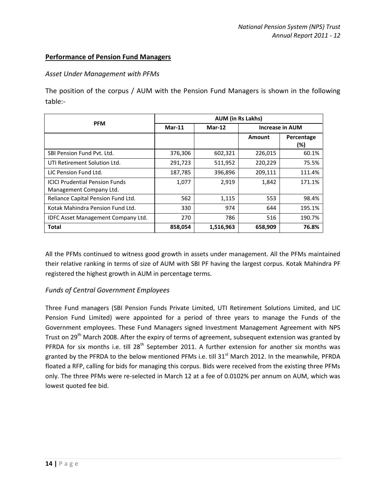#### **Performance of Pension Fund Managers**

#### *Asset Under Management with PFMs*

The position of the corpus / AUM with the Pension Fund Managers is shown in the following table:-

|                                                                  | <b>AUM (in Rs Lakhs)</b> |               |         |                        |  |
|------------------------------------------------------------------|--------------------------|---------------|---------|------------------------|--|
| <b>PFM</b>                                                       | $Mar-11$                 | <b>Mar-12</b> |         | <b>Increase in AUM</b> |  |
|                                                                  |                          |               | Amount  | Percentage<br>$(\%)$   |  |
| SBI Pension Fund Pvt. Ltd.                                       | 376,306                  | 602,321       | 226,015 | 60.1%                  |  |
| UTI Retirement Solution Ltd.                                     | 291,723                  | 511,952       | 220,229 | 75.5%                  |  |
| LIC Pension Fund Ltd.                                            | 187,785                  | 396,896       | 209,111 | 111.4%                 |  |
| <b>ICICI Prudential Pension Funds</b><br>Management Company Ltd. | 1,077                    | 2,919         | 1,842   | 171.1%                 |  |
| Reliance Capital Pension Fund Ltd.                               | 562                      | 1,115         | 553     | 98.4%                  |  |
| Kotak Mahindra Pension Fund Ltd.                                 | 330                      | 974           | 644     | 195.1%                 |  |
| IDFC Asset Management Company Ltd.                               | 270                      | 786           | 516     | 190.7%                 |  |
| Total                                                            | 858,054                  | 1,516,963     | 658,909 | 76.8%                  |  |

All the PFMs continued to witness good growth in assets under management. All the PFMs maintained their relative ranking in terms of size of AUM with SBI PF having the largest corpus. Kotak Mahindra PF registered the highest growth in AUM in percentage terms.

### *Funds of Central Government Employees*

Three Fund managers (SBI Pension Funds Private Limited, UTI Retirement Solutions Limited, and LIC Pension Fund Limited) were appointed for a period of three years to manage the Funds of the Government employees. These Fund Managers signed Investment Management Agreement with NPS Trust on 29<sup>th</sup> March 2008. After the expiry of terms of agreement, subsequent extension was granted by PFRDA for six months i.e. till  $28<sup>th</sup>$  September 2011. A further extension for another six months was granted by the PFRDA to the below mentioned PFMs i.e. till  $31<sup>st</sup>$  March 2012. In the meanwhile, PFRDA floated a RFP, calling for bids for managing this corpus. Bids were received from the existing three PFMs only. The three PFMs were re-selected in March 12 at a fee of 0.0102% per annum on AUM, which was lowest quoted fee bid.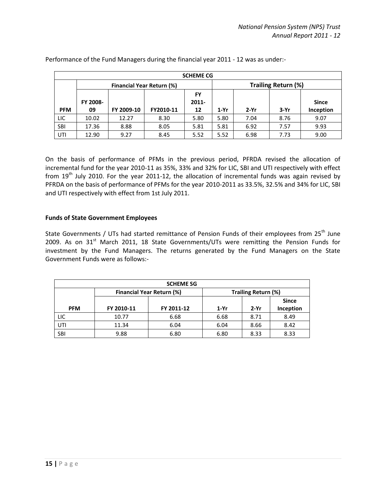|            | <b>SCHEME CG</b>          |            |           |                |        |                     |      |              |
|------------|---------------------------|------------|-----------|----------------|--------|---------------------|------|--------------|
|            | Financial Year Return (%) |            |           |                |        | Trailing Return (%) |      |              |
|            | FY 2008-                  |            |           | FY<br>$2011 -$ |        |                     |      | <b>Since</b> |
| <b>PFM</b> | 09                        | FY 2009-10 | FY2010-11 | 12             | $1-Yr$ | $2-Yr$              | 3-Yr | Inception    |
| LIC        | 10.02                     | 12.27      | 8.30      | 5.80           | 5.80   | 7.04                | 8.76 | 9.07         |
| <b>SBI</b> | 17.36                     | 8.88       | 8.05      | 5.81           | 5.81   | 6.92                | 7.57 | 9.93         |
| UTI        | 12.90                     | 9.27       | 8.45      | 5.52           | 5.52   | 6.98                | 7.73 | 9.00         |

Performance of the Fund Managers during the financial year 2011 - 12 was as under:-

On the basis of performance of PFMs in the previous period, PFRDA revised the allocation of incremental fund for the year 2010-11 as 35%, 33% and 32% for LIC, SBI and UTI respectively with effect from  $19<sup>th</sup>$  July 2010. For the year 2011-12, the allocation of incremental funds was again revised by PFRDA on the basis of performance of PFMs for the year 2010-2011 as 33.5%, 32.5% and 34% for LIC, SBI and UTI respectively with effect from 1st July 2011.

#### **Funds of State Government Employees**

State Governments / UTs had started remittance of Pension Funds of their employees from 25<sup>th</sup> June 2009. As on  $31<sup>st</sup>$  March 2011, 18 State Governments/UTs were remitting the Pension Funds for investment by the Fund Managers. The returns generated by the Fund Managers on the State Government Funds were as follows:-

| <b>SCHEME SG</b> |                     |            |        |        |              |  |
|------------------|---------------------|------------|--------|--------|--------------|--|
|                  | Trailing Return (%) |            |        |        |              |  |
|                  |                     |            |        |        | <b>Since</b> |  |
| <b>PFM</b>       | FY 2010-11          | FY 2011-12 | $1-Yr$ | $2-Yr$ | Inception    |  |
| LIC              | 10.77               | 6.68       | 6.68   | 8.71   | 8.49         |  |
| UTI              | 11.34               | 6.04       | 6.04   | 8.66   | 8.42         |  |
| SBI              | 9.88                | 6.80       | 6.80   | 8.33   | 8.33         |  |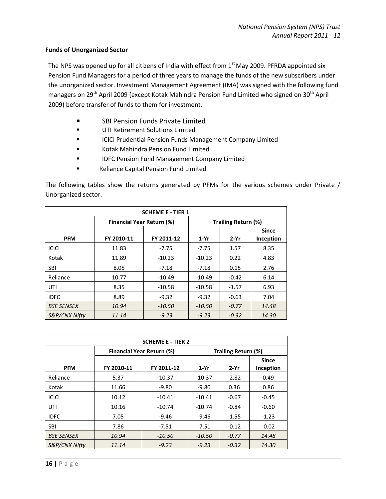#### **Funds of Unorganized Sector**

The NPS was opened up for all citizens of India with effect from 1<sup>st</sup> May 2009. PFRDA appointed six Pension Fund Managers for a period of three years to manage the funds of the new subscribers under the unorganized sector. Investment Management Agreement (IMA) was signed with the following fund managers on 29<sup>th</sup> April 2009 (except Kotak Mahindra Pension Fund Limited who signed on 30<sup>th</sup> April 2009) before transfer of funds to them for investment.

- **EXECUTE:** SBI Pension Funds Private Limited
- UTI Retirement Solutions Limited
- **ICICI Prudential Pension Funds Management Company Limited**
- **E** Kotak Mahindra Pension Fund Limited
- **IDFC Pension Fund Management Company Limited**
- **Reliance Capital Pension Fund Limited**

The following tables show the returns generated by PFMs for the various schemes under Private / Unorganized sector.

| <b>SCHEME E - TIER 1</b> |                                  |            |                     |         |              |  |
|--------------------------|----------------------------------|------------|---------------------|---------|--------------|--|
|                          | <b>Financial Year Return (%)</b> |            | Trailing Return (%) |         |              |  |
|                          |                                  |            |                     |         | <b>Since</b> |  |
| <b>PFM</b>               | FY 2010-11                       | FY 2011-12 | $1-Yr$              | $2-Yr$  | Inception    |  |
| <b>ICICI</b>             | 11.83                            | $-7.75$    | $-7.75$             | 1.57    | 8.35         |  |
| Kotak                    | 11.89                            | $-10.23$   | $-10.23$            | 0.22    | 4.83         |  |
| <b>SBI</b>               | 8.05                             | $-7.18$    | $-7.18$             | 0.15    | 2.76         |  |
| Reliance                 | 10.77                            | $-10.49$   | $-10.49$            | $-0.42$ | 6.14         |  |
| UTI                      | 8.35                             | $-10.58$   | $-10.58$            | $-1.57$ | 6.93         |  |
| <b>IDFC</b>              | 8.89                             | $-9.32$    | $-9.32$             | $-0.63$ | 7.04         |  |
| <b>BSE SENSEX</b>        | 10.94                            | $-10.50$   | $-10.50$            | $-0.77$ | 14.48        |  |
| S&P/CNX Nifty            | 11.14                            | $-9.23$    | $-9.23$             | $-0.32$ | 14.30        |  |

| <b>SCHEME E - TIER 2</b> |                                  |                     |          |         |              |  |
|--------------------------|----------------------------------|---------------------|----------|---------|--------------|--|
|                          | <b>Financial Year Return (%)</b> | Trailing Return (%) |          |         |              |  |
|                          |                                  |                     |          |         | <b>Since</b> |  |
| <b>PFM</b>               | FY 2010-11                       | FY 2011-12          | $1-Yr$   | $2-Yr$  | Inception    |  |
| Reliance                 | 5.37                             | $-10.37$            | $-10.37$ | $-2.82$ | 0.49         |  |
| Kotak                    | 11.66                            | $-9.80$             | $-9.80$  | 0.36    | 0.86         |  |
| <b>ICICI</b>             | 10.12                            | $-10.41$            | $-10.41$ | $-0.67$ | $-0.45$      |  |
| UTI                      | 10.16                            | $-10.74$            | $-10.74$ | $-0.84$ | $-0.60$      |  |
| <b>IDFC</b>              | 7.05                             | -9.46               | $-9.46$  | $-1.55$ | $-1.23$      |  |
| <b>SBI</b>               | 7.86                             | $-7.51$             | $-7.51$  | $-0.12$ | $-0.02$      |  |
| <b>BSE SENSEX</b>        | 10.94                            | -10.50              | $-10.50$ | $-0.77$ | 14.48        |  |
| S&P/CNX Nifty            | 11.14                            | $-9.23$             | $-9.23$  | $-0.32$ | 14.30        |  |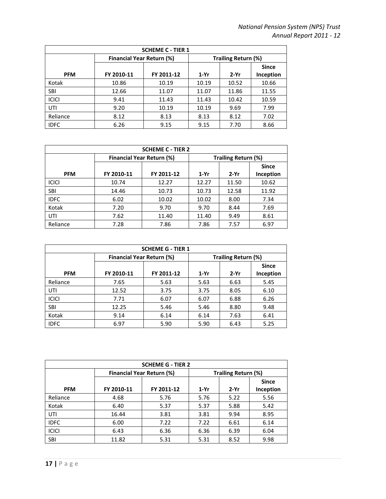| <b>SCHEME C - TIER 1</b> |                                  |            |                     |        |                           |
|--------------------------|----------------------------------|------------|---------------------|--------|---------------------------|
|                          | <b>Financial Year Return (%)</b> |            | Trailing Return (%) |        |                           |
| <b>PFM</b>               | FY 2010-11                       | FY 2011-12 | $1-Yr$              | $2-Yr$ | <b>Since</b><br>Inception |
| Kotak                    | 10.86                            | 10.19      | 10.19               | 10.52  | 10.66                     |
| <b>SBI</b>               | 12.66                            | 11.07      | 11.07               | 11.86  | 11.55                     |
| <b>ICICI</b>             | 9.41                             | 11.43      | 11.43               | 10.42  | 10.59                     |
| UTI                      | 9.20                             | 10.19      | 10.19               | 9.69   | 7.99                      |
| Reliance                 | 8.12                             | 8.13       | 8.13                | 8.12   | 7.02                      |
| <b>IDFC</b>              | 6.26                             | 9.15       | 9.15                | 7.70   | 8.66                      |

| <b>SCHEME C - TIER 2</b> |                                  |            |                     |        |              |
|--------------------------|----------------------------------|------------|---------------------|--------|--------------|
|                          | <b>Financial Year Return (%)</b> |            | Trailing Return (%) |        |              |
|                          |                                  |            |                     |        | <b>Since</b> |
| <b>PFM</b>               | FY 2010-11                       | FY 2011-12 | $1-Yr$              | $2-Yr$ | Inception    |
| <b>ICICI</b>             | 10.74                            | 12.27      | 12.27               | 11.50  | 10.62        |
| <b>SBI</b>               | 14.46                            | 10.73      | 10.73               | 12.58  | 11.92        |
| <b>IDFC</b>              | 6.02                             | 10.02      | 10.02               | 8.00   | 7.34         |
| Kotak                    | 7.20                             | 9.70       | 9.70                | 8.44   | 7.69         |
| UTI                      | 7.62                             | 11.40      | 11.40               | 9.49   | 8.61         |
| Reliance                 | 7.28                             | 7.86       | 7.86                | 7.57   | 6.97         |

| <b>SCHEME G - TIER 1</b> |                                  |            |                     |        |                           |
|--------------------------|----------------------------------|------------|---------------------|--------|---------------------------|
|                          | <b>Financial Year Return (%)</b> |            | Trailing Return (%) |        |                           |
| <b>PFM</b>               | FY 2010-11                       | FY 2011-12 | $1-Yr$              | $2-Yr$ | <b>Since</b><br>Inception |
| Reliance                 | 7.65                             | 5.63       | 5.63                | 6.63   | 5.45                      |
| UTI                      | 12.52                            | 3.75       | 3.75                | 8.05   | 6.10                      |
| <b>ICICI</b>             | 7.71                             | 6.07       | 6.07                | 6.88   | 6.26                      |
| <b>SBI</b>               | 12.25                            | 5.46       | 5.46                | 8.80   | 9.48                      |
| Kotak                    | 9.14                             | 6.14       | 6.14                | 7.63   | 6.41                      |
| <b>IDFC</b>              | 6.97                             | 5.90       | 5.90                | 6.43   | 5.25                      |

| <b>SCHEME G - TIER 2</b> |                                  |            |                     |        |              |
|--------------------------|----------------------------------|------------|---------------------|--------|--------------|
|                          | <b>Financial Year Return (%)</b> |            | Trailing Return (%) |        |              |
|                          |                                  |            |                     |        | <b>Since</b> |
| <b>PFM</b>               | FY 2010-11                       | FY 2011-12 | $1-Yr$              | $2-Yr$ | Inception    |
| Reliance                 | 4.68                             | 5.76       | 5.76                | 5.22   | 5.56         |
| Kotak                    | 6.40                             | 5.37       | 5.37                | 5.88   | 5.42         |
| UTI                      | 16.44                            | 3.81       | 3.81                | 9.94   | 8.95         |
| <b>IDFC</b>              | 6.00                             | 7.22       | 7.22                | 6.61   | 6.14         |
| <b>ICICI</b>             | 6.43                             | 6.36       | 6.36                | 6.39   | 6.04         |
| <b>SBI</b>               | 11.82                            | 5.31       | 5.31                | 8.52   | 9.98         |